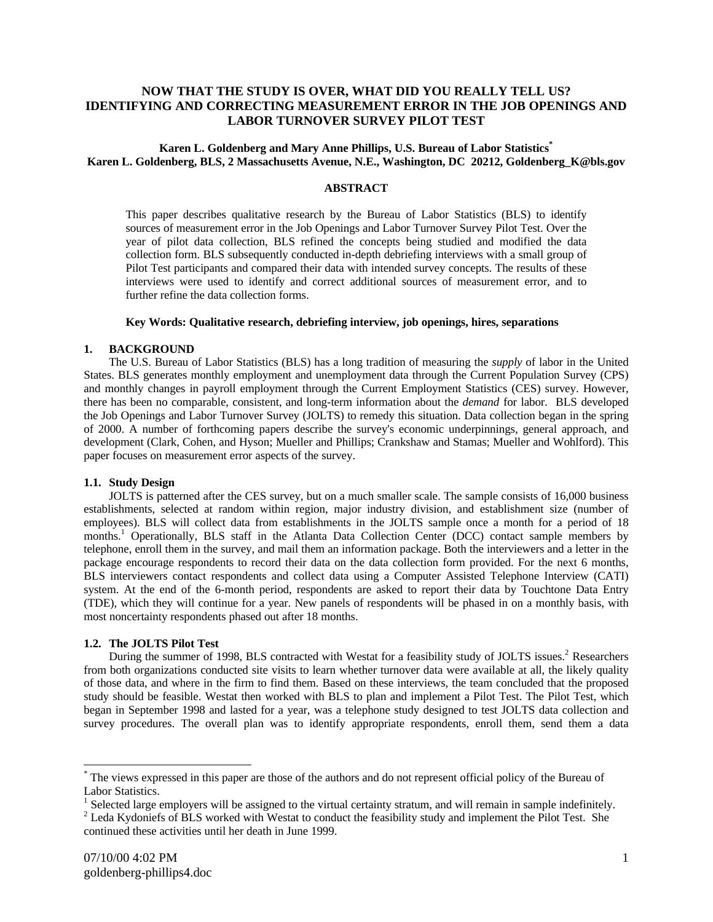# **NOW THAT THE STUDY IS OVER, WHAT DID YOU REALLY TELL US? IDENTIFYING AND CORRECTING MEASUREMENT ERROR IN THE JOB OPENINGS AND LABOR TURNOVER SURVEY PILOT TEST**

## **Karen L. Goldenberg and Mary Anne Phillips, U.S. Bureau of Labor Statistics\* Karen L. Goldenberg, BLS, 2 Massachusetts Avenue, N.E., Washington, DC 20212, Goldenberg\_K@bls.gov**

### **ABSTRACT**

This paper describes qualitative research by the Bureau of Labor Statistics (BLS) to identify sources of measurement error in the Job Openings and Labor Turnover Survey Pilot Test. Over the year of pilot data collection, BLS refined the concepts being studied and modified the data collection form. BLS subsequently conducted in-depth debriefing interviews with a small group of Pilot Test participants and compared their data with intended survey concepts. The results of these interviews were used to identify and correct additional sources of measurement error, and to further refine the data collection forms.

## **Key Words: Qualitative research, debriefing interview, job openings, hires, separations**

#### **1. BACKGROUND**

The U.S. Bureau of Labor Statistics (BLS) has a long tradition of measuring the *supply* of labor in the United States. BLS generates monthly employment and unemployment data through the Current Population Survey (CPS) and monthly changes in payroll employment through the Current Employment Statistics (CES) survey. However, there has been no comparable, consistent, and long-term information about the *demand* for labor. BLS developed the Job Openings and Labor Turnover Survey (JOLTS) to remedy this situation. Data collection began in the spring of 2000. A number of forthcoming papers describe the survey's economic underpinnings, general approach, and development (Clark, Cohen, and Hyson; Mueller and Phillips; Crankshaw and Stamas; Mueller and Wohlford). This paper focuses on measurement error aspects of the survey.

#### **1.1. Study Design**

JOLTS is patterned after the CES survey, but on a much smaller scale. The sample consists of 16,000 business establishments, selected at random within region, major industry division, and establishment size (number of employees). BLS will collect data from establishments in the JOLTS sample once a month for a period of 18 months.<sup>1</sup> Operationally, BLS staff in the Atlanta Data Collection Center (DCC) contact sample members by telephone, enroll them in the survey, and mail them an information package. Both the interviewers and a letter in the package encourage respondents to record their data on the data collection form provided. For the next 6 months, BLS interviewers contact respondents and collect data using a Computer Assisted Telephone Interview (CATI) system. At the end of the 6-month period, respondents are asked to report their data by Touchtone Data Entry (TDE), which they will continue for a year. New panels of respondents will be phased in on a monthly basis, with most noncertainty respondents phased out after 18 months.

### **1.2. The JOLTS Pilot Test**

During the summer of 1998, BLS contracted with Westat for a feasibility study of JOLTS issues.<sup>2</sup> Researchers from both organizations conducted site visits to learn whether turnover data were available at all, the likely quality of those data, and where in the firm to find them. Based on these interviews, the team concluded that the proposed study should be feasible. Westat then worked with BLS to plan and implement a Pilot Test. The Pilot Test, which began in September 1998 and lasted for a year, was a telephone study designed to test JOLTS data collection and survey procedures. The overall plan was to identify appropriate respondents, enroll them, send them a data

 $\overline{a}$ 

<sup>\*</sup> The views expressed in this paper are those of the authors and do not represent official policy of the Bureau of Labor Statistics.

 $1$  Selected large employers will be assigned to the virtual certainty stratum, and will remain in sample indefinitely.

 $2$  Leda Kydoniefs of BLS worked with Westat to conduct the feasibility study and implement the Pilot Test. She continued these activities until her death in June 1999.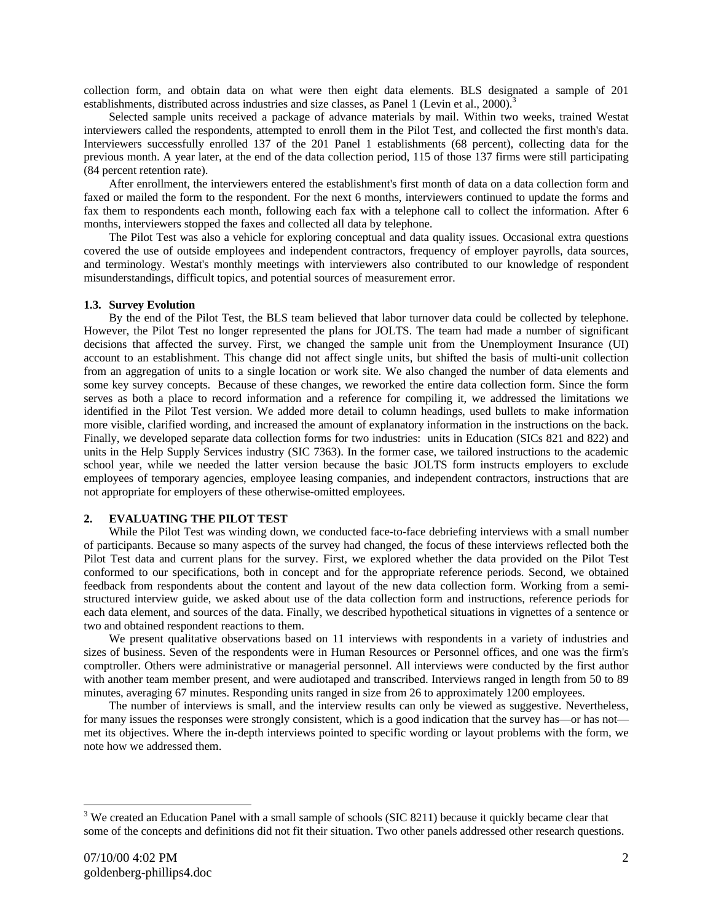collection form, and obtain data on what were then eight data elements. BLS designated a sample of 201 establishments, distributed across industries and size classes, as Panel 1 (Levin et al., 2000).<sup>3</sup>

Selected sample units received a package of advance materials by mail. Within two weeks, trained Westat interviewers called the respondents, attempted to enroll them in the Pilot Test, and collected the first month's data. Interviewers successfully enrolled 137 of the 201 Panel 1 establishments (68 percent), collecting data for the previous month. A year later, at the end of the data collection period, 115 of those 137 firms were still participating (84 percent retention rate).

After enrollment, the interviewers entered the establishment's first month of data on a data collection form and faxed or mailed the form to the respondent. For the next 6 months, interviewers continued to update the forms and fax them to respondents each month, following each fax with a telephone call to collect the information. After 6 months, interviewers stopped the faxes and collected all data by telephone.

The Pilot Test was also a vehicle for exploring conceptual and data quality issues. Occasional extra questions covered the use of outside employees and independent contractors, frequency of employer payrolls, data sources, and terminology. Westat's monthly meetings with interviewers also contributed to our knowledge of respondent misunderstandings, difficult topics, and potential sources of measurement error.

### **1.3. Survey Evolution**

By the end of the Pilot Test, the BLS team believed that labor turnover data could be collected by telephone. However, the Pilot Test no longer represented the plans for JOLTS. The team had made a number of significant decisions that affected the survey. First, we changed the sample unit from the Unemployment Insurance (UI) account to an establishment. This change did not affect single units, but shifted the basis of multi-unit collection from an aggregation of units to a single location or work site. We also changed the number of data elements and some key survey concepts. Because of these changes, we reworked the entire data collection form. Since the form serves as both a place to record information and a reference for compiling it, we addressed the limitations we identified in the Pilot Test version. We added more detail to column headings, used bullets to make information more visible, clarified wording, and increased the amount of explanatory information in the instructions on the back. Finally, we developed separate data collection forms for two industries: units in Education (SICs 821 and 822) and units in the Help Supply Services industry (SIC 7363). In the former case, we tailored instructions to the academic school year, while we needed the latter version because the basic JOLTS form instructs employers to exclude employees of temporary agencies, employee leasing companies, and independent contractors, instructions that are not appropriate for employers of these otherwise-omitted employees.

### **2. EVALUATING THE PILOT TEST**

While the Pilot Test was winding down, we conducted face-to-face debriefing interviews with a small number of participants. Because so many aspects of the survey had changed, the focus of these interviews reflected both the Pilot Test data and current plans for the survey. First, we explored whether the data provided on the Pilot Test conformed to our specifications, both in concept and for the appropriate reference periods. Second, we obtained feedback from respondents about the content and layout of the new data collection form. Working from a semistructured interview guide, we asked about use of the data collection form and instructions, reference periods for each data element, and sources of the data. Finally, we described hypothetical situations in vignettes of a sentence or two and obtained respondent reactions to them.

We present qualitative observations based on 11 interviews with respondents in a variety of industries and sizes of business. Seven of the respondents were in Human Resources or Personnel offices, and one was the firm's comptroller. Others were administrative or managerial personnel. All interviews were conducted by the first author with another team member present, and were audiotaped and transcribed. Interviews ranged in length from 50 to 89 minutes, averaging 67 minutes. Responding units ranged in size from 26 to approximately 1200 employees.

The number of interviews is small, and the interview results can only be viewed as suggestive. Nevertheless, for many issues the responses were strongly consistent, which is a good indication that the survey has—or has not met its objectives. Where the in-depth interviews pointed to specific wording or layout problems with the form, we note how we addressed them.

 $\overline{a}$ 

 $3$  We created an Education Panel with a small sample of schools (SIC 8211) because it quickly became clear that some of the concepts and definitions did not fit their situation. Two other panels addressed other research questions.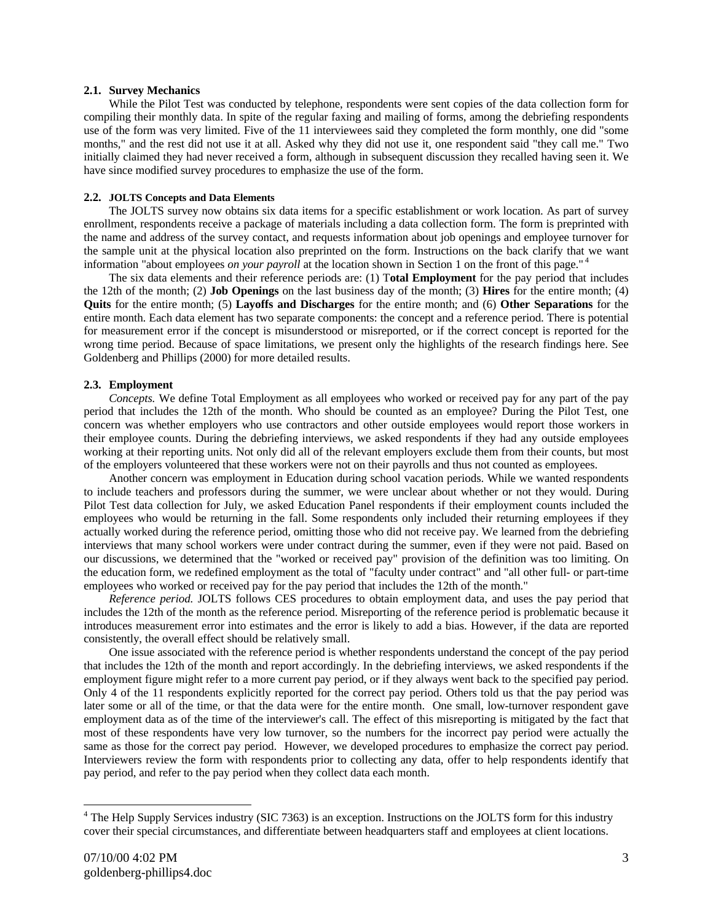### **2.1. Survey Mechanics**

While the Pilot Test was conducted by telephone, respondents were sent copies of the data collection form for compiling their monthly data. In spite of the regular faxing and mailing of forms, among the debriefing respondents use of the form was very limited. Five of the 11 interviewees said they completed the form monthly, one did "some months," and the rest did not use it at all. Asked why they did not use it, one respondent said "they call me." Two initially claimed they had never received a form, although in subsequent discussion they recalled having seen it. We have since modified survey procedures to emphasize the use of the form.

#### **2.2. JOLTS Concepts and Data Elements**

The JOLTS survey now obtains six data items for a specific establishment or work location. As part of survey enrollment, respondents receive a package of materials including a data collection form. The form is preprinted with the name and address of the survey contact, and requests information about job openings and employee turnover for the sample unit at the physical location also preprinted on the form. Instructions on the back clarify that we want information "about employees *on your payroll* at the location shown in Section 1 on the front of this page." <sup>4</sup>

The six data elements and their reference periods are: (1) T**otal Employment** for the pay period that includes the 12th of the month; (2) **Job Openings** on the last business day of the month; (3) **Hires** for the entire month; (4) **Quits** for the entire month; (5) **Layoffs and Discharges** for the entire month; and (6) **Other Separations** for the entire month. Each data element has two separate components: the concept and a reference period. There is potential for measurement error if the concept is misunderstood or misreported, or if the correct concept is reported for the wrong time period. Because of space limitations, we present only the highlights of the research findings here. See Goldenberg and Phillips (2000) for more detailed results.

#### **2.3. Employment**

*Concepts.* We define Total Employment as all employees who worked or received pay for any part of the pay period that includes the 12th of the month. Who should be counted as an employee? During the Pilot Test, one concern was whether employers who use contractors and other outside employees would report those workers in their employee counts. During the debriefing interviews, we asked respondents if they had any outside employees working at their reporting units. Not only did all of the relevant employers exclude them from their counts, but most of the employers volunteered that these workers were not on their payrolls and thus not counted as employees.

Another concern was employment in Education during school vacation periods. While we wanted respondents to include teachers and professors during the summer, we were unclear about whether or not they would. During Pilot Test data collection for July, we asked Education Panel respondents if their employment counts included the employees who would be returning in the fall. Some respondents only included their returning employees if they actually worked during the reference period, omitting those who did not receive pay. We learned from the debriefing interviews that many school workers were under contract during the summer, even if they were not paid. Based on our discussions, we determined that the "worked or received pay" provision of the definition was too limiting. On the education form, we redefined employment as the total of "faculty under contract" and "all other full- or part-time employees who worked or received pay for the pay period that includes the 12th of the month."

*Reference period.* JOLTS follows CES procedures to obtain employment data, and uses the pay period that includes the 12th of the month as the reference period. Misreporting of the reference period is problematic because it introduces measurement error into estimates and the error is likely to add a bias. However, if the data are reported consistently, the overall effect should be relatively small.

One issue associated with the reference period is whether respondents understand the concept of the pay period that includes the 12th of the month and report accordingly. In the debriefing interviews, we asked respondents if the employment figure might refer to a more current pay period, or if they always went back to the specified pay period. Only 4 of the 11 respondents explicitly reported for the correct pay period. Others told us that the pay period was later some or all of the time, or that the data were for the entire month. One small, low-turnover respondent gave employment data as of the time of the interviewer's call. The effect of this misreporting is mitigated by the fact that most of these respondents have very low turnover, so the numbers for the incorrect pay period were actually the same as those for the correct pay period. However, we developed procedures to emphasize the correct pay period. Interviewers review the form with respondents prior to collecting any data, offer to help respondents identify that pay period, and refer to the pay period when they collect data each month.

<sup>&</sup>lt;sup>4</sup> The Help Supply Services industry (SIC 7363) is an exception. Instructions on the JOLTS form for this industry cover their special circumstances, and differentiate between headquarters staff and employees at client locations.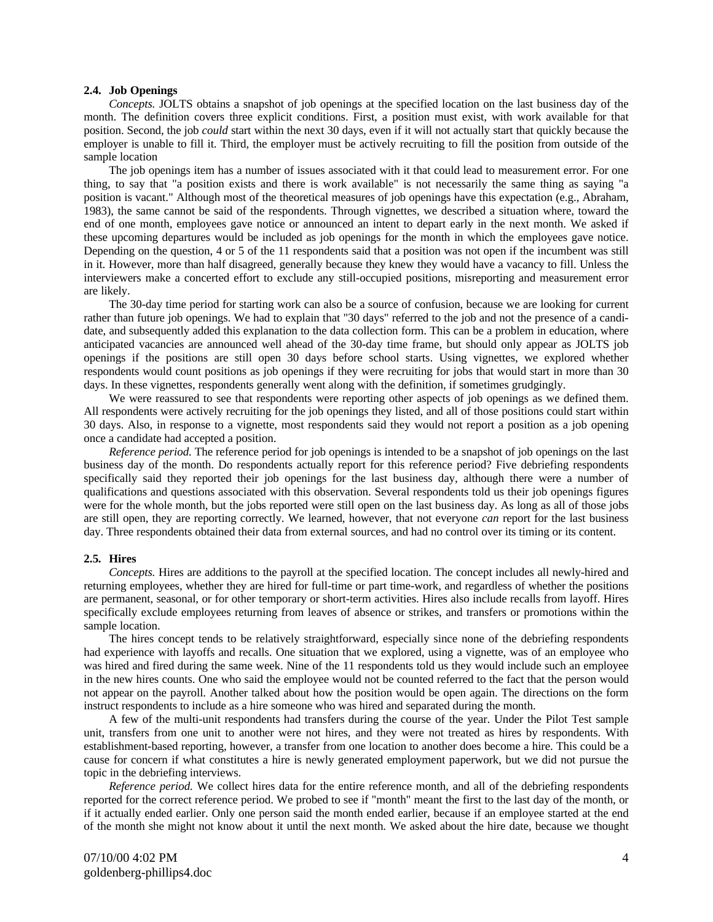## **2.4. Job Openings**

*Concepts.* JOLTS obtains a snapshot of job openings at the specified location on the last business day of the month. The definition covers three explicit conditions. First, a position must exist, with work available for that position. Second, the job *could* start within the next 30 days, even if it will not actually start that quickly because the employer is unable to fill it. Third, the employer must be actively recruiting to fill the position from outside of the sample location

The job openings item has a number of issues associated with it that could lead to measurement error. For one thing, to say that "a position exists and there is work available" is not necessarily the same thing as saying "a position is vacant." Although most of the theoretical measures of job openings have this expectation (e.g., Abraham, 1983), the same cannot be said of the respondents. Through vignettes, we described a situation where, toward the end of one month, employees gave notice or announced an intent to depart early in the next month. We asked if these upcoming departures would be included as job openings for the month in which the employees gave notice. Depending on the question, 4 or 5 of the 11 respondents said that a position was not open if the incumbent was still in it. However, more than half disagreed, generally because they knew they would have a vacancy to fill. Unless the interviewers make a concerted effort to exclude any still-occupied positions, misreporting and measurement error are likely.

The 30-day time period for starting work can also be a source of confusion, because we are looking for current rather than future job openings. We had to explain that "30 days" referred to the job and not the presence of a candidate, and subsequently added this explanation to the data collection form. This can be a problem in education, where anticipated vacancies are announced well ahead of the 30-day time frame, but should only appear as JOLTS job openings if the positions are still open 30 days before school starts. Using vignettes, we explored whether respondents would count positions as job openings if they were recruiting for jobs that would start in more than 30 days. In these vignettes, respondents generally went along with the definition, if sometimes grudgingly.

We were reassured to see that respondents were reporting other aspects of job openings as we defined them. All respondents were actively recruiting for the job openings they listed, and all of those positions could start within 30 days. Also, in response to a vignette, most respondents said they would not report a position as a job opening once a candidate had accepted a position.

*Reference period.* The reference period for job openings is intended to be a snapshot of job openings on the last business day of the month. Do respondents actually report for this reference period? Five debriefing respondents specifically said they reported their job openings for the last business day, although there were a number of qualifications and questions associated with this observation. Several respondents told us their job openings figures were for the whole month, but the jobs reported were still open on the last business day. As long as all of those jobs are still open, they are reporting correctly. We learned, however, that not everyone *can* report for the last business day. Three respondents obtained their data from external sources, and had no control over its timing or its content.

#### **2.5. Hires**

*Concepts.* Hires are additions to the payroll at the specified location. The concept includes all newly-hired and returning employees, whether they are hired for full-time or part time-work, and regardless of whether the positions are permanent, seasonal, or for other temporary or short-term activities. Hires also include recalls from layoff. Hires specifically exclude employees returning from leaves of absence or strikes, and transfers or promotions within the sample location.

The hires concept tends to be relatively straightforward, especially since none of the debriefing respondents had experience with layoffs and recalls. One situation that we explored, using a vignette, was of an employee who was hired and fired during the same week. Nine of the 11 respondents told us they would include such an employee in the new hires counts. One who said the employee would not be counted referred to the fact that the person would not appear on the payroll. Another talked about how the position would be open again. The directions on the form instruct respondents to include as a hire someone who was hired and separated during the month.

A few of the multi-unit respondents had transfers during the course of the year. Under the Pilot Test sample unit, transfers from one unit to another were not hires, and they were not treated as hires by respondents. With establishment-based reporting, however, a transfer from one location to another does become a hire. This could be a cause for concern if what constitutes a hire is newly generated employment paperwork, but we did not pursue the topic in the debriefing interviews.

*Reference period.* We collect hires data for the entire reference month, and all of the debriefing respondents reported for the correct reference period. We probed to see if "month" meant the first to the last day of the month, or if it actually ended earlier. Only one person said the month ended earlier, because if an employee started at the end of the month she might not know about it until the next month. We asked about the hire date, because we thought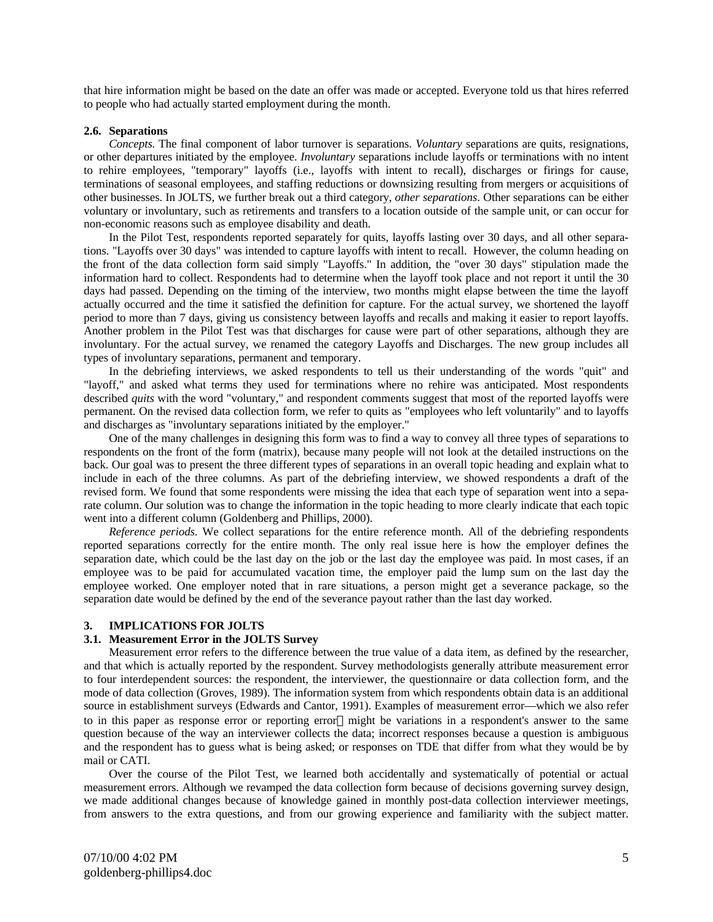that hire information might be based on the date an offer was made or accepted. Everyone told us that hires referred to people who had actually started employment during the month.

### **2.6. Separations**

*Concepts.* The final component of labor turnover is separations. *Voluntary* separations are quits, resignations, or other departures initiated by the employee. *Involuntary* separations include layoffs or terminations with no intent to rehire employees, "temporary" layoffs (i.e., layoffs with intent to recall), discharges or firings for cause, terminations of seasonal employees, and staffing reductions or downsizing resulting from mergers or acquisitions of other businesses. In JOLTS, we further break out a third category, *other separations*. Other separations can be either voluntary or involuntary, such as retirements and transfers to a location outside of the sample unit, or can occur for non-economic reasons such as employee disability and death.

In the Pilot Test, respondents reported separately for quits, layoffs lasting over 30 days, and all other separations. "Layoffs over 30 days" was intended to capture layoffs with intent to recall. However, the column heading on the front of the data collection form said simply "Layoffs." In addition, the "over 30 days" stipulation made the information hard to collect. Respondents had to determine when the layoff took place and not report it until the 30 days had passed. Depending on the timing of the interview, two months might elapse between the time the layoff actually occurred and the time it satisfied the definition for capture. For the actual survey, we shortened the layoff period to more than 7 days, giving us consistency between layoffs and recalls and making it easier to report layoffs. Another problem in the Pilot Test was that discharges for cause were part of other separations, although they are involuntary. For the actual survey, we renamed the category Layoffs and Discharges. The new group includes all types of involuntary separations, permanent and temporary.

In the debriefing interviews, we asked respondents to tell us their understanding of the words "quit" and "layoff," and asked what terms they used for terminations where no rehire was anticipated. Most respondents described *quits* with the word "voluntary," and respondent comments suggest that most of the reported layoffs were permanent. On the revised data collection form, we refer to quits as "employees who left voluntarily" and to layoffs and discharges as "involuntary separations initiated by the employer."

One of the many challenges in designing this form was to find a way to convey all three types of separations to respondents on the front of the form (matrix), because many people will not look at the detailed instructions on the back. Our goal was to present the three different types of separations in an overall topic heading and explain what to include in each of the three columns. As part of the debriefing interview, we showed respondents a draft of the revised form. We found that some respondents were missing the idea that each type of separation went into a separate column. Our solution was to change the information in the topic heading to more clearly indicate that each topic went into a different column (Goldenberg and Phillips, 2000).

*Reference periods.* We collect separations for the entire reference month. All of the debriefing respondents reported separations correctly for the entire month. The only real issue here is how the employer defines the separation date, which could be the last day on the job or the last day the employee was paid. In most cases, if an employee was to be paid for accumulated vacation time, the employer paid the lump sum on the last day the employee worked. One employer noted that in rare situations, a person might get a severance package, so the separation date would be defined by the end of the severance payout rather than the last day worked.

#### **3. IMPLICATIONS FOR JOLTS**

#### **3.1. Measurement Error in the JOLTS Survey**

Measurement error refers to the difference between the true value of a data item, as defined by the researcher, and that which is actually reported by the respondent. Survey methodologists generally attribute measurement error to four interdependent sources: the respondent, the interviewer, the questionnaire or data collection form, and the mode of data collection (Groves, 1989). The information system from which respondents obtain data is an additional source in establishment surveys (Edwards and Cantor, 1991). Examples of measurement error—which we also refer to in this paper as response error or reporting error—might be variations in a respondent's answer to the same question because of the way an interviewer collects the data; incorrect responses because a question is ambiguous and the respondent has to guess what is being asked; or responses on TDE that differ from what they would be by mail or CATI.

Over the course of the Pilot Test, we learned both accidentally and systematically of potential or actual measurement errors. Although we revamped the data collection form because of decisions governing survey design, we made additional changes because of knowledge gained in monthly post-data collection interviewer meetings, from answers to the extra questions, and from our growing experience and familiarity with the subject matter.